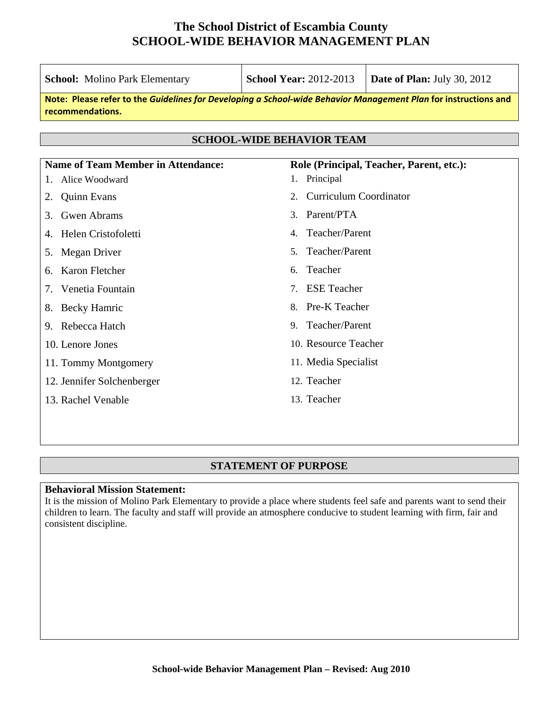| <b>School:</b> Molino Park Elementary                                                                                               | <b>School Year: 2012-2013</b>        | Date of Plan: July 30, 2012 |  |  |  |  |  |
|-------------------------------------------------------------------------------------------------------------------------------------|--------------------------------------|-----------------------------|--|--|--|--|--|
| Note: Please refer to the Guidelines for Developing a School-wide Behavior Management Plan for instructions and<br>recommendations. |                                      |                             |  |  |  |  |  |
|                                                                                                                                     |                                      |                             |  |  |  |  |  |
| <b>SCHOOL-WIDE BEHAVIOR TEAM</b>                                                                                                    |                                      |                             |  |  |  |  |  |
| <b>Name of Team Member in Attendance:</b><br>Role (Principal, Teacher, Parent, etc.):                                               |                                      |                             |  |  |  |  |  |
| Alice Woodward<br>1.                                                                                                                | Principal<br>1.                      |                             |  |  |  |  |  |
| <b>Quinn Evans</b><br>2.                                                                                                            | <b>Curriculum Coordinator</b><br>2.  |                             |  |  |  |  |  |
| <b>Gwen Abrams</b><br>3.                                                                                                            | Parent/PTA<br>3.                     |                             |  |  |  |  |  |
| Helen Cristofoletti<br>4.                                                                                                           | Teacher/Parent<br>4.                 |                             |  |  |  |  |  |
| Megan Driver<br>5.                                                                                                                  | Teacher/Parent<br>5 <sub>1</sub>     |                             |  |  |  |  |  |
| Karon Fletcher<br>6.                                                                                                                | Teacher<br>6.                        |                             |  |  |  |  |  |
| Venetia Fountain<br>7.                                                                                                              | <b>ESE</b> Teacher<br>7 <sub>1</sub> |                             |  |  |  |  |  |
| <b>Becky Hamric</b><br>8.                                                                                                           | Pre-K Teacher<br>8.                  |                             |  |  |  |  |  |
| 9. Rebecca Hatch                                                                                                                    | 9. Teacher/Parent                    |                             |  |  |  |  |  |
| 10. Lenore Jones                                                                                                                    | 10. Resource Teacher                 |                             |  |  |  |  |  |
| 11. Tommy Montgomery                                                                                                                | 11. Media Specialist                 |                             |  |  |  |  |  |
| 12. Jennifer Solchenberger                                                                                                          | 12. Teacher                          |                             |  |  |  |  |  |
| 13. Rachel Venable                                                                                                                  | 13. Teacher                          |                             |  |  |  |  |  |
|                                                                                                                                     |                                      |                             |  |  |  |  |  |
|                                                                                                                                     |                                      |                             |  |  |  |  |  |

## **STATEMENT OF PURPOSE**

#### **Behavioral Mission Statement:**

It is the mission of Molino Park Elementary to provide a place where students feel safe and parents want to send their children to learn. The faculty and staff will provide an atmosphere conducive to student learning with firm, fair and consistent discipline.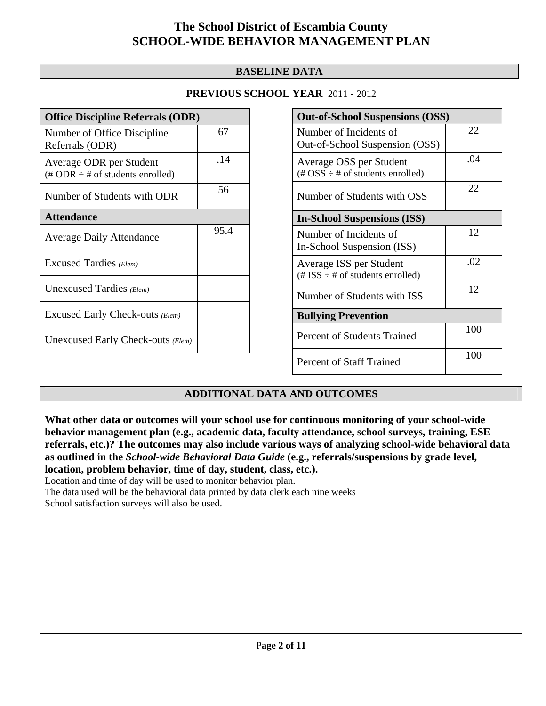## **BASELINE DATA**

## **PREVIOUS SCHOOL YEAR** 2011 - 2012

| <b>Office Discipline Referrals (ODR)</b>                                         |      |  |  |
|----------------------------------------------------------------------------------|------|--|--|
| Number of Office Discipline<br>Referrals (ODR)                                   | 67   |  |  |
| Average ODR per Student<br>$(\text{\# ODR} \div \text{\# of students enrolled})$ | .14  |  |  |
| Number of Students with ODR                                                      | 56   |  |  |
| <b>Attendance</b>                                                                |      |  |  |
| <b>Average Daily Attendance</b>                                                  | 95.4 |  |  |
| Excused Tardies (Elem)                                                           |      |  |  |
| Unexcused Tardies (Elem)                                                         |      |  |  |
| Excused Early Check-outs (Elem)                                                  |      |  |  |
| Unexcused Early Check-outs (Elem)                                                |      |  |  |

| <b>Out-of-School Suspensions (OSS)</b>                                                          |     |  |  |  |
|-------------------------------------------------------------------------------------------------|-----|--|--|--|
| Number of Incidents of<br>Out-of-School Suspension (OSS)                                        | 22  |  |  |  |
| Average OSS per Student<br>$(\text{\#} \text{OSS} \div \text{\#} \text{ of students enrolled})$ | .04 |  |  |  |
| Number of Students with OSS                                                                     | 22  |  |  |  |
| <b>In-School Suspensions (ISS)</b>                                                              |     |  |  |  |
| Number of Incidents of<br>In-School Suspension (ISS)                                            | 12  |  |  |  |
| Average ISS per Student<br>$(\text{\# ISS} \div \text{\# of students enrolled})$                | .02 |  |  |  |
| Number of Students with ISS                                                                     | 12  |  |  |  |
| <b>Bullying Prevention</b>                                                                      |     |  |  |  |
| Percent of Students Trained                                                                     | 100 |  |  |  |
| Percent of Staff Trained                                                                        | 100 |  |  |  |

## **ADDITIONAL DATA AND OUTCOMES**

**What other data or outcomes will your school use for continuous monitoring of your school-wide behavior management plan (e.g., academic data, faculty attendance, school surveys, training, ESE referrals, etc.)? The outcomes may also include various ways of analyzing school-wide behavioral data as outlined in the** *School-wide Behavioral Data Guide* **(e.g., referrals/suspensions by grade level, location, problem behavior, time of day, student, class, etc.).**

Location and time of day will be used to monitor behavior plan.

The data used will be the behavioral data printed by data clerk each nine weeks

School satisfaction surveys will also be used.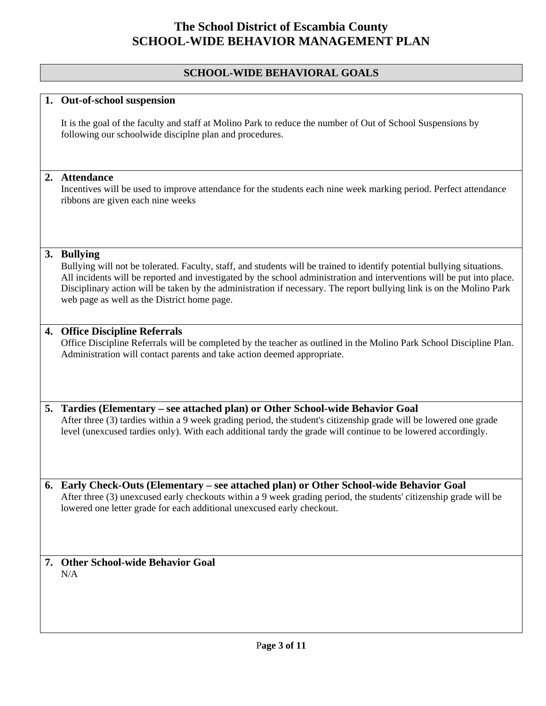### **SCHOOL-WIDE BEHAVIORAL GOALS**

#### **1. Out-of-school suspension**

It is the goal of the faculty and staff at Molino Park to reduce the number of Out of School Suspensions by following our schoolwide disciplne plan and procedures.

#### **2. Attendance**

Incentives will be used to improve attendance for the students each nine week marking period. Perfect attendance ribbons are given each nine weeks

#### **3. Bullying**

Bullying will not be tolerated. Faculty, staff, and students will be trained to identify potential bullying situations. All incidents will be reported and investigated by the school administration and interventions will be put into place. Disciplinary action will be taken by the administration if necessary. The report bullying link is on the Molino Park web page as well as the District home page.

#### **4. Office Discipline Referrals**

Office Discipline Referrals will be completed by the teacher as outlined in the Molino Park School Discipline Plan. Administration will contact parents and take action deemed appropriate.

#### **5. Tardies (Elementary – see attached plan) or Other School-wide Behavior Goal**

After three (3) tardies within a 9 week grading period, the student's citizenship grade will be lowered one grade level (unexcused tardies only). With each additional tardy the grade will continue to be lowered accordingly.

**6. Early Check-Outs (Elementary – see attached plan) or Other School-wide Behavior Goal**  After three (3) unexcused early checkouts within a 9 week grading period, the students' citizenship grade will be lowered one letter grade for each additional unexcused early checkout.

#### **7. Other School-wide Behavior Goal**  N/A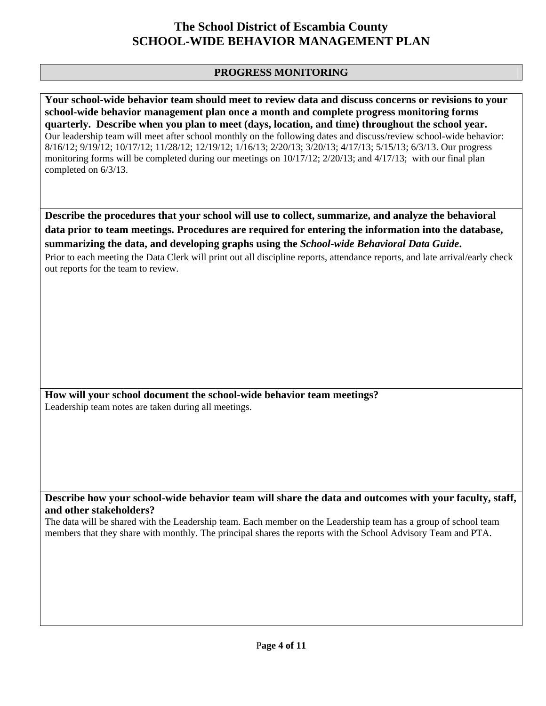## **PROGRESS MONITORING**

**Your school-wide behavior team should meet to review data and discuss concerns or revisions to your school-wide behavior management plan once a month and complete progress monitoring forms quarterly. Describe when you plan to meet (days, location, and time) throughout the school year.**  Our leadership team will meet after school monthly on the following dates and discuss/review school-wide behavior: 8/16/12; 9/19/12; 10/17/12; 11/28/12; 12/19/12; 1/16/13; 2/20/13; 3/20/13; 4/17/13; 5/15/13; 6/3/13. Our progress monitoring forms will be completed during our meetings on  $10/17/12$ ;  $2/20/13$ ; and  $4/17/13$ ; with our final plan completed on 6/3/13.

**Describe the procedures that your school will use to collect, summarize, and analyze the behavioral data prior to team meetings. Procedures are required for entering the information into the database, summarizing the data, and developing graphs using the** *School-wide Behavioral Data Guide***.** 

Prior to each meeting the Data Clerk will print out all discipline reports, attendance reports, and late arrival/early check out reports for the team to review.

**How will your school document the school-wide behavior team meetings?** Leadership team notes are taken during all meetings.

**Describe how your school-wide behavior team will share the data and outcomes with your faculty, staff, and other stakeholders?** 

The data will be shared with the Leadership team. Each member on the Leadership team has a group of school team members that they share with monthly. The principal shares the reports with the School Advisory Team and PTA.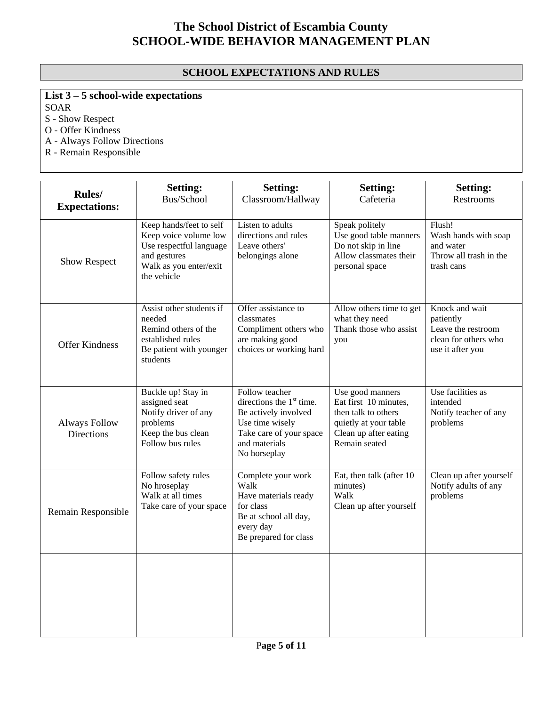## **SCHOOL EXPECTATIONS AND RULES**

# **List 3 – 5 school-wide expectations**

SOAR

S - Show Respect

O - Offer Kindness

A - Always Follow Directions

R - Remain Responsible

| Rules/<br><b>Expectations:</b>     | <b>Setting:</b><br>Bus/School                                                                                                        | <b>Setting:</b><br>Classroom/Hallway                                                                                                                          | <b>Setting:</b><br>Cafeteria                                                                                                        | <b>Setting:</b><br>Restrooms                                                                  |
|------------------------------------|--------------------------------------------------------------------------------------------------------------------------------------|---------------------------------------------------------------------------------------------------------------------------------------------------------------|-------------------------------------------------------------------------------------------------------------------------------------|-----------------------------------------------------------------------------------------------|
| <b>Show Respect</b>                | Keep hands/feet to self<br>Keep voice volume low<br>Use respectful language<br>and gestures<br>Walk as you enter/exit<br>the vehicle | Listen to adults<br>directions and rules<br>Leave others'<br>belongings alone                                                                                 | Speak politely<br>Use good table manners<br>Do not skip in line<br>Allow classmates their<br>personal space                         | Flush!<br>Wash hands with soap<br>and water<br>Throw all trash in the<br>trash cans           |
| <b>Offer Kindness</b>              | Assist other students if<br>needed<br>Remind others of the<br>established rules<br>Be patient with younger<br>students               | Offer assistance to<br>classmates<br>Compliment others who<br>are making good<br>choices or working hard                                                      | Allow others time to get<br>what they need<br>Thank those who assist<br>you                                                         | Knock and wait<br>patiently<br>Leave the restroom<br>clean for others who<br>use it after you |
| <b>Always Follow</b><br>Directions | Buckle up! Stay in<br>assigned seat<br>Notify driver of any<br>problems<br>Keep the bus clean<br>Follow bus rules                    | Follow teacher<br>directions the 1 <sup>st</sup> time.<br>Be actively involved<br>Use time wisely<br>Take care of your space<br>and materials<br>No horseplay | Use good manners<br>Eat first 10 minutes,<br>then talk to others<br>quietly at your table<br>Clean up after eating<br>Remain seated | Use facilities as<br>intended<br>Notify teacher of any<br>problems                            |
| Remain Responsible                 | Follow safety rules<br>No hroseplay<br>Walk at all times<br>Take care of your space                                                  | Complete your work<br>Walk<br>Have materials ready<br>for class<br>Be at school all day,<br>every day<br>Be prepared for class                                | Eat, then talk (after 10<br>minutes)<br>Walk<br>Clean up after yourself                                                             | Clean up after yourself<br>Notify adults of any<br>problems                                   |
|                                    |                                                                                                                                      |                                                                                                                                                               |                                                                                                                                     |                                                                                               |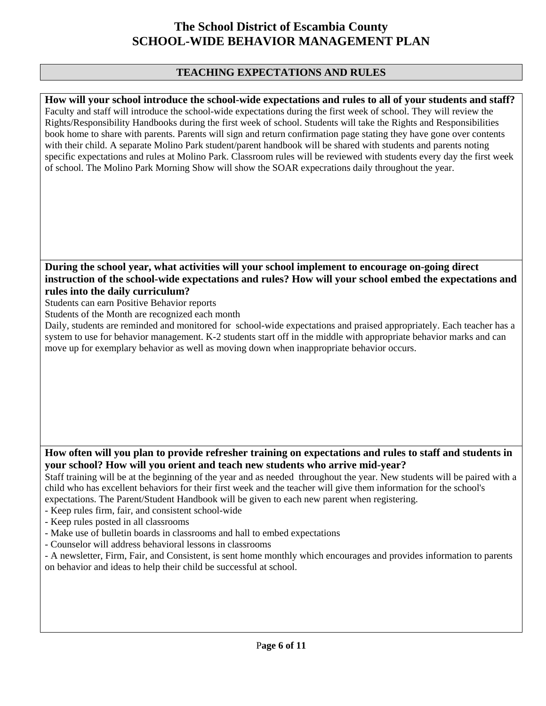### **TEACHING EXPECTATIONS AND RULES**

**How will your school introduce the school-wide expectations and rules to all of your students and staff?**  Faculty and staff will introduce the school-wide expectations during the first week of school. They will review the Rights/Responsibility Handbooks during the first week of school. Students will take the Rights and Responsibilities book home to share with parents. Parents will sign and return confirmation page stating they have gone over contents with their child. A separate Molino Park student/parent handbook will be shared with students and parents noting specific expectations and rules at Molino Park. Classroom rules will be reviewed with students every day the first week of school. The Molino Park Morning Show will show the SOAR expecrations daily throughout the year.

### **During the school year, what activities will your school implement to encourage on-going direct instruction of the school-wide expectations and rules? How will your school embed the expectations and rules into the daily curriculum?**

Students can earn Positive Behavior reports

Students of the Month are recognized each month

Daily, students are reminded and monitored for school-wide expectations and praised appropriately. Each teacher has a system to use for behavior management. K-2 students start off in the middle with appropriate behavior marks and can move up for exemplary behavior as well as moving down when inappropriate behavior occurs.

### **How often will you plan to provide refresher training on expectations and rules to staff and students in your school? How will you orient and teach new students who arrive mid-year?**

Staff training will be at the beginning of the year and as needed throughout the year. New students will be paired with a child who has excellent behaviors for their first week and the teacher will give them information for the school's expectations. The Parent/Student Handbook will be given to each new parent when registering.

- Keep rules firm, fair, and consistent school-wide
- Keep rules posted in all classrooms
- Make use of bulletin boards in classrooms and hall to embed expectations
- Counselor will address behavioral lessons in classrooms
- A newsletter, Firm, Fair, and Consistent, is sent home monthly which encourages and provides information to parents on behavior and ideas to help their child be successful at school.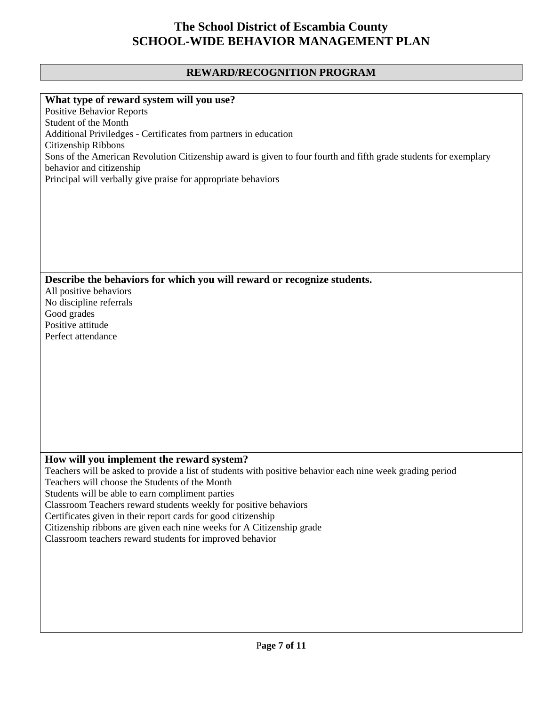### **REWARD/RECOGNITION PROGRAM**

#### **What type of reward system will you use?**

Positive Behavior Reports Student of the Month Additional Priviledges - Certificates from partners in education Citizenship Ribbons Sons of the American Revolution Citizenship award is given to four fourth and fifth grade students for exemplary behavior and citizenship Principal will verbally give praise for appropriate behaviors

#### **Describe the behaviors for which you will reward or recognize students.**

All positive behaviors No discipline referrals Good grades Positive attitude Perfect attendance

### **How will you implement the reward system?**

Teachers will be asked to provide a list of students with positive behavior each nine week grading period

Teachers will choose the Students of the Month

Students will be able to earn compliment parties

Classroom Teachers reward students weekly for positive behaviors

Certificates given in their report cards for good citizenship

Citizenship ribbons are given each nine weeks for A Citizenship grade

Classroom teachers reward students for improved behavior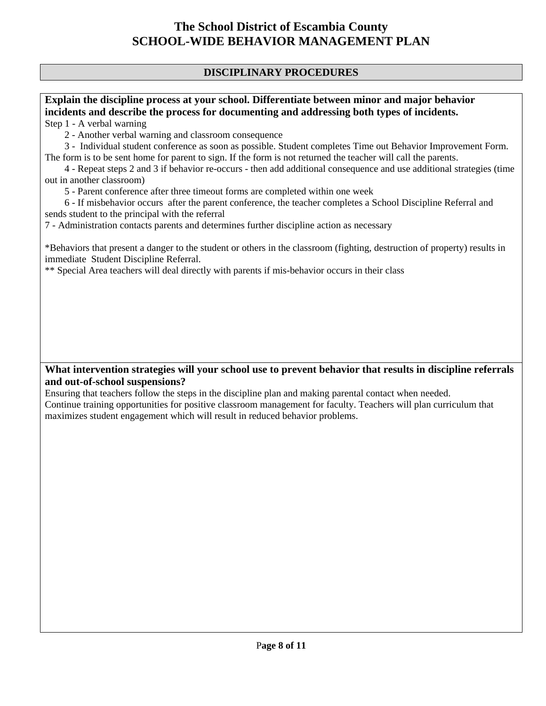## **DISCIPLINARY PROCEDURES**

# **Explain the discipline process at your school. Differentiate between minor and major behavior incidents and describe the process for documenting and addressing both types of incidents.**

Step 1 - A verbal warning

2 - Another verbal warning and classroom consequence

 3 - Individual student conference as soon as possible. Student completes Time out Behavior Improvement Form. The form is to be sent home for parent to sign. If the form is not returned the teacher will call the parents.

 4 - Repeat steps 2 and 3 if behavior re-occurs - then add additional consequence and use additional strategies (time out in another classroom)

5 - Parent conference after three timeout forms are completed within one week

 6 - If misbehavior occurs after the parent conference, the teacher completes a School Discipline Referral and sends student to the principal with the referral

7 - Administration contacts parents and determines further discipline action as necessary

\*Behaviors that present a danger to the student or others in the classroom (fighting, destruction of property) results in immediate Student Discipline Referral.

\*\* Special Area teachers will deal directly with parents if mis-behavior occurs in their class

## **What intervention strategies will your school use to prevent behavior that results in discipline referrals and out-of-school suspensions?**

Ensuring that teachers follow the steps in the discipline plan and making parental contact when needed. Continue training opportunities for positive classroom management for faculty. Teachers will plan curriculum that maximizes student engagement which will result in reduced behavior problems.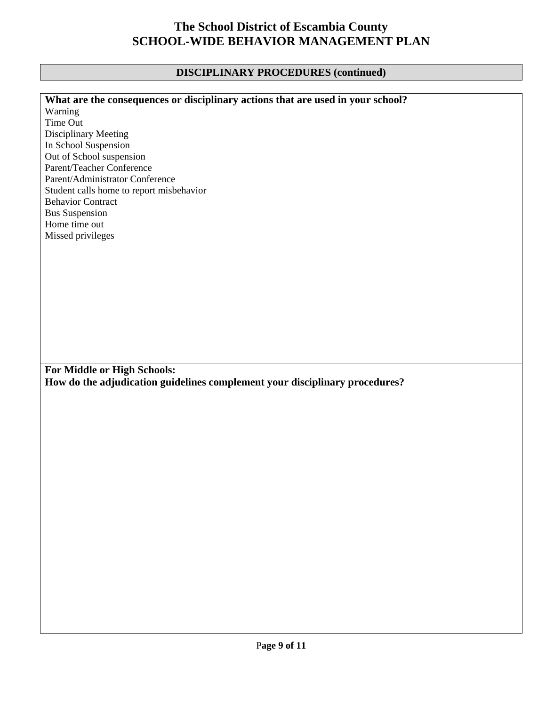# **DISCIPLINARY PROCEDURES (continued)**

| What are the consequences or disciplinary actions that are used in your school? |
|---------------------------------------------------------------------------------|
| Warning                                                                         |
| Time Out                                                                        |
| Disciplinary Meeting                                                            |
| In School Suspension                                                            |
| Out of School suspension                                                        |
| Parent/Teacher Conference                                                       |
| Parent/Administrator Conference                                                 |
| Student calls home to report misbehavior                                        |
| <b>Behavior Contract</b>                                                        |
| <b>Bus Suspension</b>                                                           |
| Home time out                                                                   |
|                                                                                 |
| Missed privileges                                                               |
|                                                                                 |
|                                                                                 |
|                                                                                 |
|                                                                                 |
|                                                                                 |
|                                                                                 |
|                                                                                 |
|                                                                                 |
|                                                                                 |
|                                                                                 |
|                                                                                 |
|                                                                                 |
|                                                                                 |
| For Middle or High Schools:                                                     |
| How do the adjudication guidelines complement your disciplinary procedures?     |
|                                                                                 |
|                                                                                 |
|                                                                                 |
|                                                                                 |
|                                                                                 |
|                                                                                 |
|                                                                                 |
|                                                                                 |
|                                                                                 |
|                                                                                 |
|                                                                                 |
|                                                                                 |
|                                                                                 |
|                                                                                 |
|                                                                                 |
|                                                                                 |
|                                                                                 |
|                                                                                 |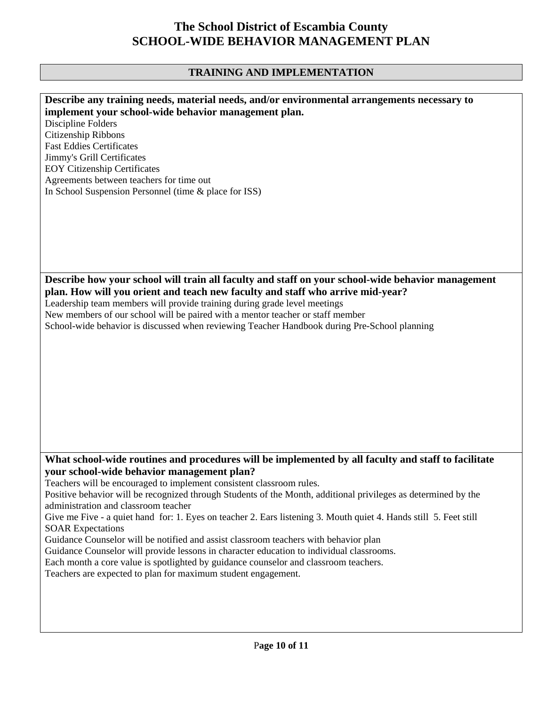# **TRAINING AND IMPLEMENTATION**

| Describe any training needs, material needs, and/or environmental arrangements necessary to                       |
|-------------------------------------------------------------------------------------------------------------------|
|                                                                                                                   |
| implement your school-wide behavior management plan.                                                              |
| Discipline Folders                                                                                                |
| Citizenship Ribbons                                                                                               |
|                                                                                                                   |
| <b>Fast Eddies Certificates</b>                                                                                   |
| Jimmy's Grill Certificates                                                                                        |
| <b>EOY Citizenship Certificates</b>                                                                               |
|                                                                                                                   |
| Agreements between teachers for time out                                                                          |
| In School Suspension Personnel (time & place for ISS)                                                             |
|                                                                                                                   |
|                                                                                                                   |
|                                                                                                                   |
|                                                                                                                   |
|                                                                                                                   |
|                                                                                                                   |
|                                                                                                                   |
|                                                                                                                   |
|                                                                                                                   |
| Describe how your school will train all faculty and staff on your school-wide behavior management                 |
| plan. How will you orient and teach new faculty and staff who arrive mid-year?                                    |
|                                                                                                                   |
| Leadership team members will provide training during grade level meetings                                         |
| New members of our school will be paired with a mentor teacher or staff member                                    |
| School-wide behavior is discussed when reviewing Teacher Handbook during Pre-School planning                      |
|                                                                                                                   |
|                                                                                                                   |
|                                                                                                                   |
|                                                                                                                   |
|                                                                                                                   |
|                                                                                                                   |
|                                                                                                                   |
|                                                                                                                   |
|                                                                                                                   |
|                                                                                                                   |
|                                                                                                                   |
|                                                                                                                   |
|                                                                                                                   |
|                                                                                                                   |
|                                                                                                                   |
| What school-wide routines and procedures will be implemented by all faculty and staff to facilitate               |
| your school-wide behavior management plan?                                                                        |
| Teachers will be encouraged to implement consistent classroom rules.                                              |
|                                                                                                                   |
| Positive behavior will be recognized through Students of the Month, additional privileges as determined by the    |
| administration and classroom teacher                                                                              |
| Give me Five - a quiet hand for: 1. Eyes on teacher 2. Ears listening 3. Mouth quiet 4. Hands still 5. Feet still |
|                                                                                                                   |
| <b>SOAR Expectations</b>                                                                                          |
| Guidance Counselor will be notified and assist classroom teachers with behavior plan                              |
|                                                                                                                   |
| Guidance Counselor will provide lessons in character education to individual classrooms.                          |
| Each month a core value is spotlighted by guidance counselor and classroom teachers.                              |
| Teachers are expected to plan for maximum student engagement.                                                     |
|                                                                                                                   |
|                                                                                                                   |
|                                                                                                                   |
|                                                                                                                   |